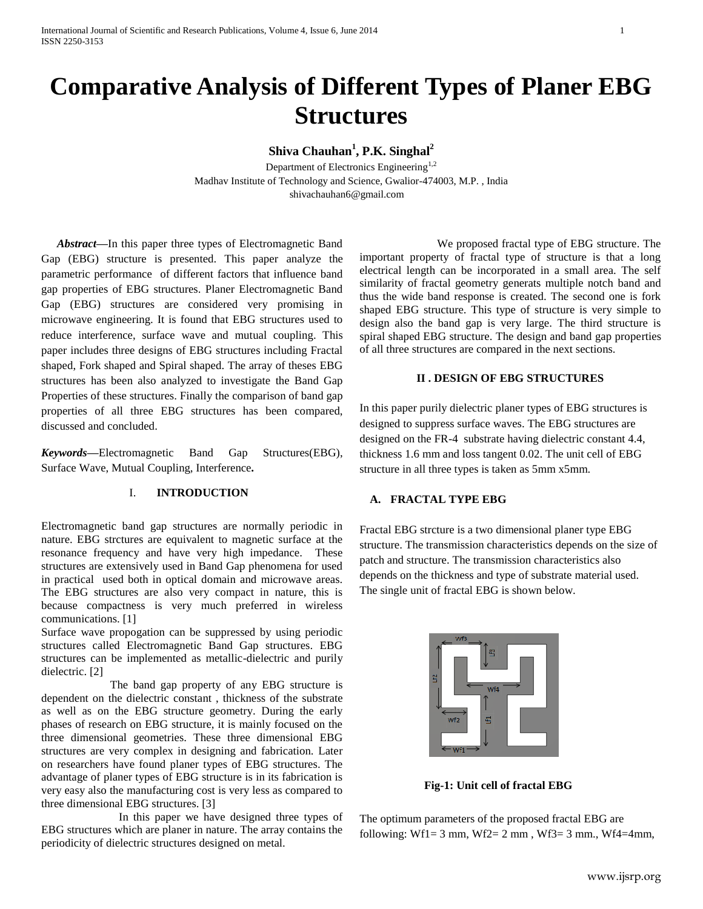# **Comparative Analysis of Different Types of Planer EBG Structures**

**Shiva Chauhan<sup>1</sup> , P.K. Singhal<sup>2</sup>**

Department of Electronics Engineering<sup>1,2</sup> Madhav Institute of Technology and Science, Gwalior-474003, M.P. , India shivachauhan6@gmail.com

*Abstract***—**In this paper three types of Electromagnetic Band Gap (EBG) structure is presented. This paper analyze the parametric performance of different factors that influence band gap properties of EBG structures. Planer Electromagnetic Band Gap (EBG) structures are considered very promising in microwave engineering. It is found that EBG structures used to reduce interference, surface wave and mutual coupling. This paper includes three designs of EBG structures including Fractal shaped, Fork shaped and Spiral shaped. The array of theses EBG structures has been also analyzed to investigate the Band Gap Properties of these structures. Finally the comparison of band gap properties of all three EBG structures has been compared, discussed and concluded.

*Keywords—*Electromagnetic Band Gap Structures(EBG), Surface Wave, Mutual Coupling, Interference*.*

## I. **INTRODUCTION**

Electromagnetic band gap structures are normally periodic in nature. EBG strctures are equivalent to magnetic surface at the resonance frequency and have very high impedance. These structures are extensively used in Band Gap phenomena for used in practical used both in optical domain and microwave areas. The EBG structures are also very compact in nature, this is because compactness is very much preferred in wireless communications. [1]

Surface wave propogation can be suppressed by using periodic structures called Electromagnetic Band Gap structures. EBG structures can be implemented as metallic-dielectric and purily dielectric. [2]

 The band gap property of any EBG structure is dependent on the dielectric constant , thickness of the substrate as well as on the EBG structure geometry. During the early phases of research on EBG structure, it is mainly focused on the three dimensional geometries. These three dimensional EBG structures are very complex in designing and fabrication. Later on researchers have found planer types of EBG structures. The advantage of planer types of EBG structure is in its fabrication is very easy also the manufacturing cost is very less as compared to three dimensional EBG structures. [3]

 In this paper we have designed three types of EBG structures which are planer in nature. The array contains the periodicity of dielectric structures designed on metal.

 We proposed fractal type of EBG structure. The important property of fractal type of structure is that a long electrical length can be incorporated in a small area. The self similarity of fractal geometry generats multiple notch band and thus the wide band response is created. The second one is fork shaped EBG structure. This type of structure is very simple to design also the band gap is very large. The third structure is spiral shaped EBG structure. The design and band gap properties of all three structures are compared in the next sections.

## **II . DESIGN OF EBG STRUCTURES**

In this paper purily dielectric planer types of EBG structures is designed to suppress surface waves. The EBG structures are designed on the FR-4 substrate having dielectric constant 4.4, thickness 1.6 mm and loss tangent 0.02. The unit cell of EBG structure in all three types is taken as 5mm x5mm.

#### **A. FRACTAL TYPE EBG**

Fractal EBG strcture is a two dimensional planer type EBG structure. The transmission characteristics depends on the size of patch and structure. The transmission characteristics also depends on the thickness and type of substrate material used. The single unit of fractal EBG is shown below.



 **Fig-1: Unit cell of fractal EBG**

The optimum parameters of the proposed fractal EBG are following: Wf1=  $3 \text{ mm}$ , Wf2=  $2 \text{ mm}$ , Wf3=  $3 \text{ mm}$ , Wf4=4mm,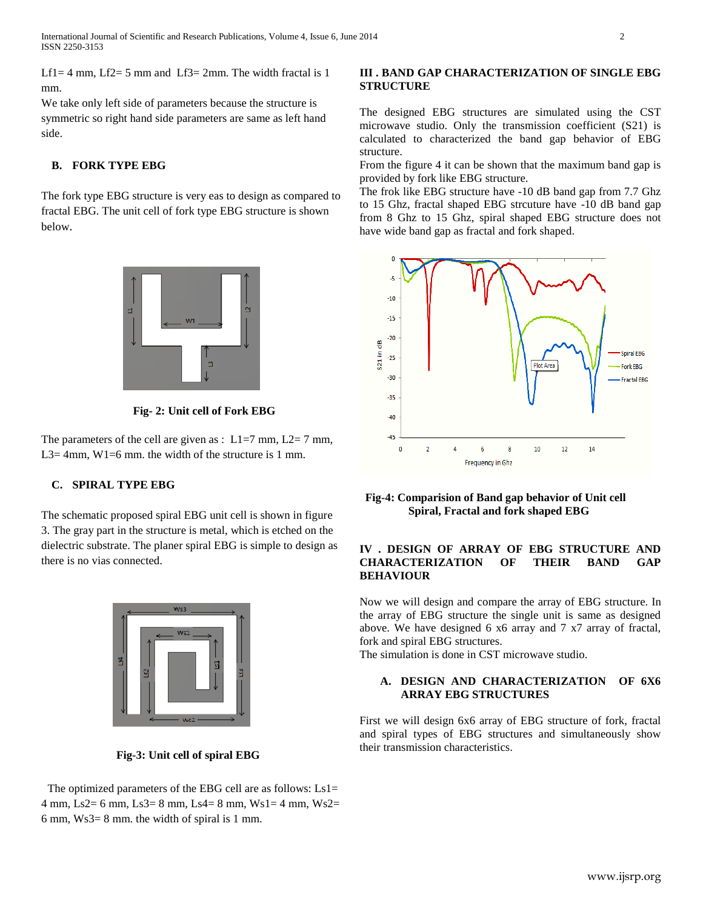Lf1 = 4 mm, Lf2 = 5 mm and Lf3 = 2mm. The width fractal is 1 mm.

We take only left side of parameters because the structure is symmetric so right hand side parameters are same as left hand side.

### **B. FORK TYPE EBG**

The fork type EBG structure is very eas to design as compared to fractal EBG. The unit cell of fork type EBG structure is shown below.



**Fig- 2: Unit cell of Fork EBG**

The parameters of the cell are given as :  $L1=7$  mm,  $L2=7$  mm, L3= 4mm, W1=6 mm. the width of the structure is 1 mm.

## **C. SPIRAL TYPE EBG**

The schematic proposed spiral EBG unit cell is shown in figure 3. The gray part in the structure is metal, which is etched on the dielectric substrate. The planer spiral EBG is simple to design as there is no vias connected.



 **Fig-3: Unit cell of spiral EBG** 

The optimized parameters of the EBG cell are as follows:  $Ls1=$ 4 mm, Ls2= 6 mm, Ls3= 8 mm, Ls4= 8 mm, Ws1= 4 mm, Ws2= 6 mm, Ws3= 8 mm. the width of spiral is 1 mm.

#### **III . BAND GAP CHARACTERIZATION OF SINGLE EBG STRUCTURE**

The designed EBG structures are simulated using the CST microwave studio. Only the transmission coefficient (S21) is calculated to characterized the band gap behavior of EBG structure.

From the figure 4 it can be shown that the maximum band gap is provided by fork like EBG structure.

The frok like EBG structure have -10 dB band gap from 7.7 Ghz to 15 Ghz, fractal shaped EBG strcuture have -10 dB band gap from 8 Ghz to 15 Ghz, spiral shaped EBG structure does not have wide band gap as fractal and fork shaped.



 **Fig-4: Comparision of Band gap behavior of Unit cell Spiral, Fractal and fork shaped EBG** 

## **IV . DESIGN OF ARRAY OF EBG STRUCTURE AND CHARACTERIZATION OF THEIR BAND GAP BEHAVIOUR**

Now we will design and compare the array of EBG structure. In the array of EBG structure the single unit is same as designed above. We have designed 6 x6 array and 7 x7 array of fractal, fork and spiral EBG structures.

The simulation is done in CST microwave studio.

### **A. DESIGN AND CHARACTERIZATION OF 6X6 ARRAY EBG STRUCTURES**

First we will design 6x6 array of EBG structure of fork, fractal and spiral types of EBG structures and simultaneously show their transmission characteristics.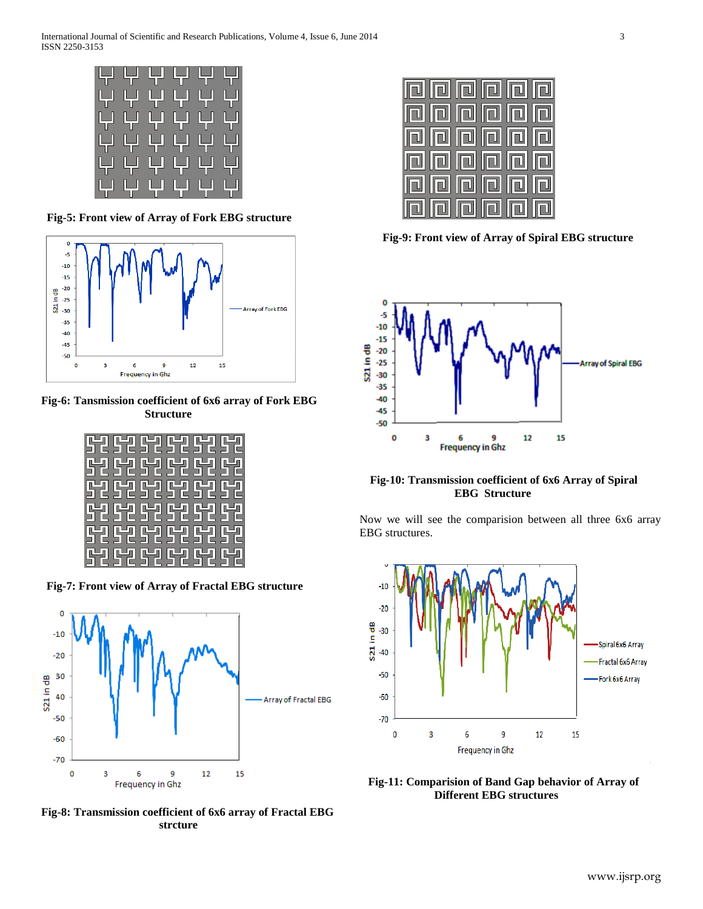

**Fig-5: Front view of Array of Fork EBG structure**



**Fig-6: Tansmission coefficient of 6x6 array of Fork EBG Structure**

| 52 52 52 52 52 52        |                       |  |  |
|--------------------------|-----------------------|--|--|
| <b>52 52 52 52 52 52</b> |                       |  |  |
| <b>52 52 52 52 52 52</b> |                       |  |  |
| <b>52 52 52 52 52</b>    |                       |  |  |
|                          | ISZ SZ SZ SZ SZ SZ SZ |  |  |

 **Fig-7: Front view of Array of Fractal EBG structure**



**Fig-8: Transmission coefficient of 6x6 array of Fractal EBG strcture**

| <b>na na na</b> na n       |  |  |  |
|----------------------------|--|--|--|
| <b>hin hin hin</b>         |  |  |  |
| <b>  a  a  a  a  a </b>  a |  |  |  |
| ialajajajaja               |  |  |  |
| lolololololol              |  |  |  |
| <u>اه او او او او او</u>   |  |  |  |

 **Fig-9: Front view of Array of Spiral EBG structure**



 **Fig-10: Transmission coefficient of 6x6 Array of Spiral EBG Structure**

Now we will see the comparision between all three 6x6 array EBG structures.



 **Fig-11: Comparision of Band Gap behavior of Array of Different EBG structures**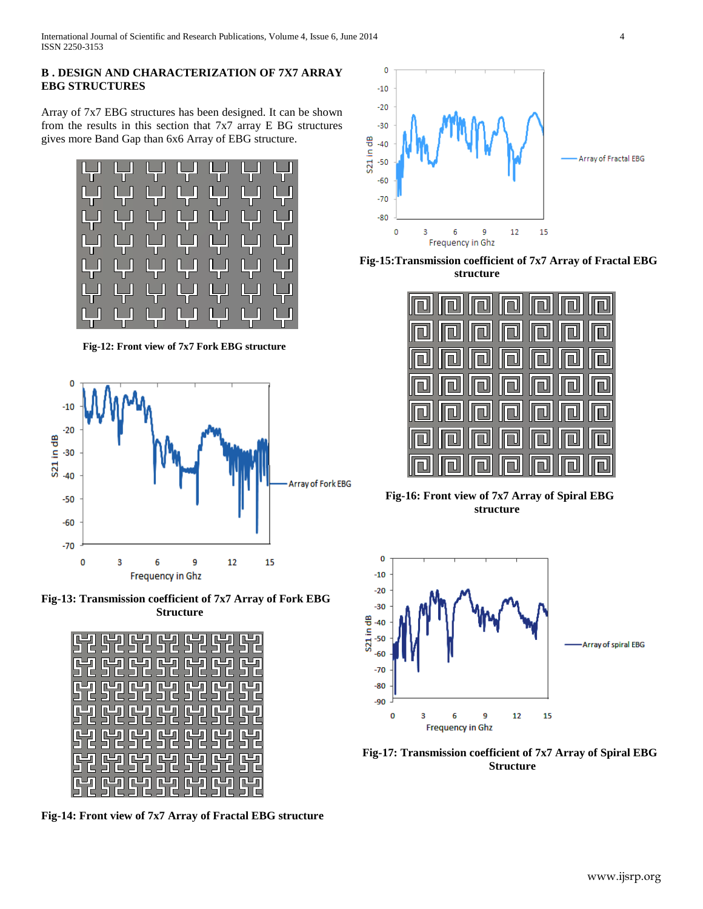## **B . DESIGN AND CHARACTERIZATION OF 7X7 ARRAY EBG STRUCTURES**

Array of 7x7 EBG structures has been designed. It can be shown from the results in this section that 7x7 array E BG structures gives more Band Gap than 6x6 Array of EBG structure.



 **Fig-12: Front view of 7x7 Fork EBG structure**



**Fig-13: Transmission coefficient of 7x7 Array of Fork EBG Structure**

|  | 52 52 52 52 52 52 52 |  |  |
|--|----------------------|--|--|
|  | 52525252525252       |  |  |
|  | 52525252525252       |  |  |
|  | 52525252525252       |  |  |
|  | 52 52 52 52 52 52 52 |  |  |
|  | 52 52 52 52 52 52 52 |  |  |
|  | 52 52 52 52 52 52 52 |  |  |

**Fig-14: Front view of 7x7 Array of Fractal EBG structure**



**Fig-15:Transmission coefficient of 7x7 Array of Fractal EBG structure**



 **Fig-16: Front view of 7x7 Array of Spiral EBG structure**



**Fig-17: Transmission coefficient of 7x7 Array of Spiral EBG Structure**